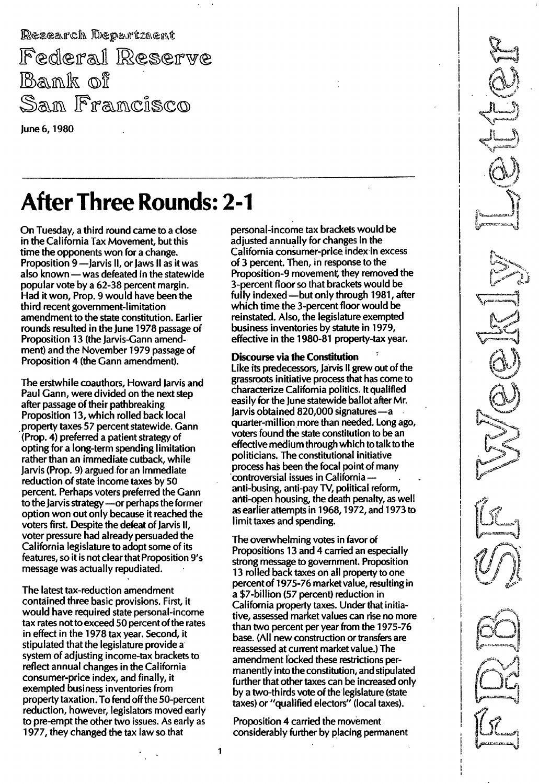Research Department Federal Reserve Bank of San Francisco June 6, 1980

**After Three Rounds: 2-1** 

- - - - -----\_.\_-\_.\_---\_.\_----------

On Tuesday, a third round came to a close in the California Tax Movement, but this time the opponents won for a change. Proposition 9 -Jarvis II, or Jaws II as it was also known - was defeated in the statewide popular vote by a 62-38 percent margin. Had it won, Prop. 9 would have been the third recent government-limitation amendment to the state constitution. Earlier rounds resulted in the June 1978 passage of Proposition 13 (the Jarvis-Gann amendment) and the November 1979 passage of Proposition 4 (the Gann amendment).

The erstwhile coauthors, Howard Jarvis and Paul Gann, were divided on the next step after passage of their pathbreaking Proposition 13, which rolled back local . property taxes 57 percent statewide. Gann (Prop. 4) preferred a patient strategy of opting for a long-term spending limitation rather than an immediate cutback, while Jarvis (Prop. 9) argued for an immediate reduction of state income taxes by 50 percent. Perhaps voters preferred the Gann to the Jarvis strategy - or perhaps the former option won out only because it reached the voters first. Despite the defeat of Jarvis II, voter pressure had already persuaded the California legislature to adopt some of its features, so it is not clearthat Proposition 9's message was actually repudiated.

The latest tax-reduction amendment contained three basic provisions. First, it would have required state personal-income tax rates not to exceed 50 percent of the rates in effect in the 1978 tax year. Second, it stipulated that the legislature provide a system of adjusting income-tax brackets to reflect annual changes in the California consumer-price index, and finally, it exempted business inventories from property taxation. To fend off the 50-percent reduction, however, legislators moved early to pre-empt the other two issues. As early as 1 977, they changed the tax law so that

personal-income tax brackets would be adjusted annually for changes in the California consumer-price index in excess of 3 percent. Then, in response to the Proposition-9 movement, they removed the 3-percent floor so that brackets would be fully indexed - but only through 1981, after which time the 3-percent floor would be reinstated. Also, the legislature exempted business inventories by statute in 1979, effective in the 1980-81 property-tax year.

Discourse via the Constitution

Like its predecessors, Jarvis II grew out of the grassroots initiative process that has come to characterize California politics. It qualified easily for the June statewide ballot after Mr. Jarvis obtained 820,000 signatures-a quarter-million more than needed. Long ago, voters found the state constitution to be an effective medium through which to talk to the politicians. The constitutional initiative process has been the focal point of many controversial issues in California anti-busing, anti-pay TV, political reform, anti-open housing, the death penalty, as well as earlier attempts in 1968, 1972, and 1973 to limit taxes and spending.

The overwhelming votes in favor of Propositions 13 and 4 carried an especially strong message to government. Proposition 13 rolled back taxes on all property to one percent of 1 975-76 market value, resulting in a \$7-billion (57 percent) reduction in California property taxes. Under that initiative, assessed market values can rise no more than two percent per year from the 1975-76 base. (All new construction or transfers are reassessed at current market value.) The amendment locked these restrictions permanently into the constitution, and stipulated further that other taxes can be increased only by a two-thirds vote of the legislature (state taxes) or "qualified electors" (local taxes).

Proposition 4 carried the movement considerably further by placing permanent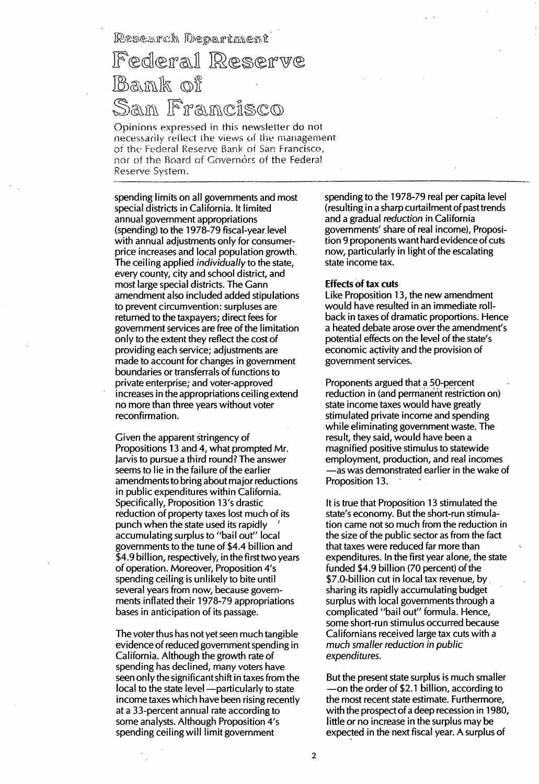Research Department

## Federal Reserve Bank of San Francisco

Opinions expressed in this newsletter do not necessarily reflect the views of the management of the Federal Reserve Bank of San Francisco, nor of the Board of Governors of the Federal Reserve System.

spending limits on all governments and most special districts in California. It limited annual government appropriations (spending) to the 1 978-79 fiscal-year level with annual adjustments only for consumerprice increases and local population growth. The ceiling applied individually to the state, every county, city and school district, and most large special districts. The Gann amendment also included added stipulations to prevent circumvention: surpluses are returned to the taxpayers; direct fees for government services are free of the limitation only to the extent they reflect the cost of providing each service; adjustments are made to account for changes in government boundaries or transferrals of functions to private enterprise; and voter-approved increases in the appropriations ceiling extend no more than three years without voter reconfirmation.

Given the apparent stringency of Propositions 13 and 4, what prompted Mr. Jarvis to pursue a third round? The answer seems to lie in the failure of the earlier amendments to bring about major reductions in public expenditures within California. Specifically, Proposition 13's drastic reduction of property taxes lost much of its punch when the state used its rapidly accumulating surplus to "bail out" local governments to the tune of \$4.4 billion and \$4.9 billion, respectively, in the first two years of operation. Moreover, Proposition 4's spending ceiling is unlikely to bite until several years from now, because governments inflated their 1978-79 appropriations bases in anticipation of its passage.

The voter thus has not yet seen much tangible evidence of reduced government spending in California. Although the growth rate of spending has declined, many voters have seen only the significant shift in taxes from the local to the state level -- particularly to state income taxes which have been rising recently at a 33-percent annual rate according to some analysts. Although Proposition 4's spending ceiling will limit government

spending to the 1978-79 real per capita level (resulting in a sharp curtailment of past trends and a gradual reduction in California governments' share of real income), Proposition 9 proponents want hard evidence of cuts now, particularly in light of the escalating state income tax.

## Effects of tax cuts

Like Proposition 13, the new amendment would have resulted in an immediate rollback in taxes of dramatic proportions. Hence a heated debate arose over the amendment's potential effects on the level of the state's economic activity and the provision of government services.

Proponents argued that a 50-percent reduction in (and permanent restriction on) state income taxes would have greatly stimulated private income and spending while eliminating government waste. The result, they said, would have been a magnified positive stimulus to statewide employment, production, and real incomes -as was demonstrated earlier in the wake of Proposition 13.

It is true that Proposition 13 stimulated the state's economy. But the short-run stimulation came not so much from the reduction in the size of the public sector as from the fact that taxes were reduced far more than expenditures. In the first year alone, the state funded \$4.9 billion (70 percent) of the \$7.0-billion cut in local tax revenue, by sharing its rapidly accumulating budget surplus with local governments through a complicated "bail out" formula. Hence, some short-run stimulus occurred because Californians received large tax cuts with a much smaller reduction in public expenditures.

But the present state surplus is much smaller -on the order of \$2.1 billion, according to the most recent state estimate. Furthermore, with the prospect of a deep recession in 1980, little or no increase in the surplus may be expected in the next fiscal year. A surplus of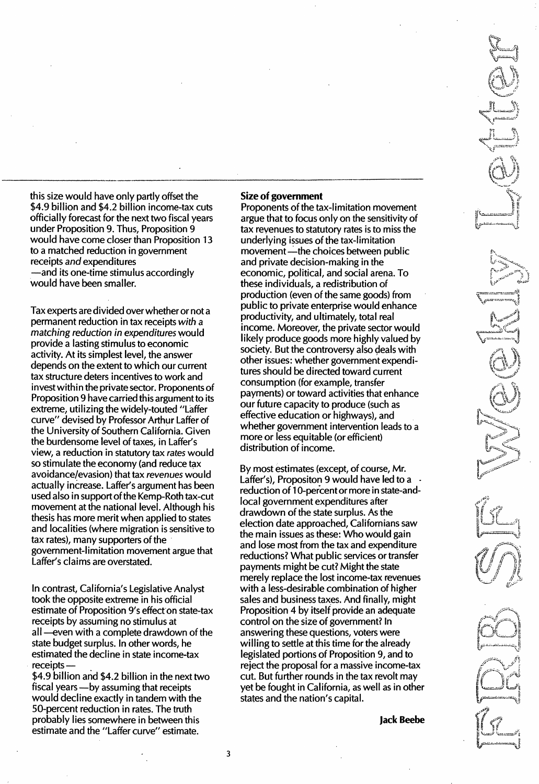this size would have only partly offset the \$4.9 billion and \$4.2 billion income-tax cuts officially forecast for the next two fiscal years under Proposition 9. Thus, Proposition 9 would have come closer than Proposition 13 to a matched reduction in government receipts and expenditures -and its one-time stimulus accordingly would have been smaller.

Tax experts are divided over whether or not a permanent reduction in tax receipts with a matching reduction in expenditures would provide a lasting stimulus to economic activity. At its simplest level, the answer depends on the extent to which our current tax structure deters incentives to work and invest within the private sector. Proponents of Proposition 9 have carried this argument to its extreme, utilizing the widely-touted "Laffer curve" devised by Professor Arthur Laffer of the University of Southern California. Given the burdensome level of taxes, in Laffer's view, a reduction in statutory tax rates would so stimulate the economy (and reduce tax avoidance/evasion) that tax revenues would actually increase. Laffer's argument has been used also in support of the Kemp-Roth tax-cut movement at the national level. Although his thesis has more merit when applied to states and localities (where migration is sensitive to tax rates), many supporters of the government-limitation movement argue that Laffer's claims are overstated.

In contrast, California's Legislative Analyst took the opposite extreme in his official estimate of Proposition 9's effect on state-tax receipts by assuming no stimulus at all-even with a complete drawdown of the state budget surplus. In other words, he estimated the decline in state income-tax receipts-

\$4.9 billion and \$4.2 billion in the next two fiscal years - by assuming that receipts would decline exactly in tandem with the 50-percent reduction in rates. The truth probably lies somewhere in between this estimate and the "Laffer curve" estimate.

## Size of government

Proponents of the tax-limitation movement argue that to focus only on the sensitivity of tax revenues to statutory rates is to miss the underlying issues of the tax-limitation movement - the choices between public and private decision-making in the economic, political, and social arena. To these individuals, a redistribution of production (even of the same goods) from public to private enterprise would enhance productivity, and ultimately, total real income. Moreover, the private sector would likely produce goods more highly valued by society. But the controversy also deals with other issues: whether government expenditures should be directed toward current consumption (for example, transfer payments) or toward activities that enhance our future capacity to produce (such as effective education or highways), and whether government intervention leads to a more or less equitable (or efficient) distribution of income.

By most estimates (except, of course, Mr. Laffer's), Propositon 9 would have led to a reduction of 10-percent or more in state-andlocal government expenditures after drawdown of the state surplus. As the election date approached, Californians saw the main issues as these: Who would gain and lose most from the tax and expenditure reductions? What public services or transfer payments might be cut? Might the state merely replace the lost income-tax revenues with a less-desirable combination of higher sales and business taxes. And finally, might Proposition 4 by itself provide an adequate control on the size of government? In answering these questions, voters were willing to settle at this time for the already legislated portions of Proposition 9, and to reject the proposal for a massive income-tax cut. But further rounds in the tax revolt may yet be fought in California, as well as in other states and the nation's capital.

Jack Beebe